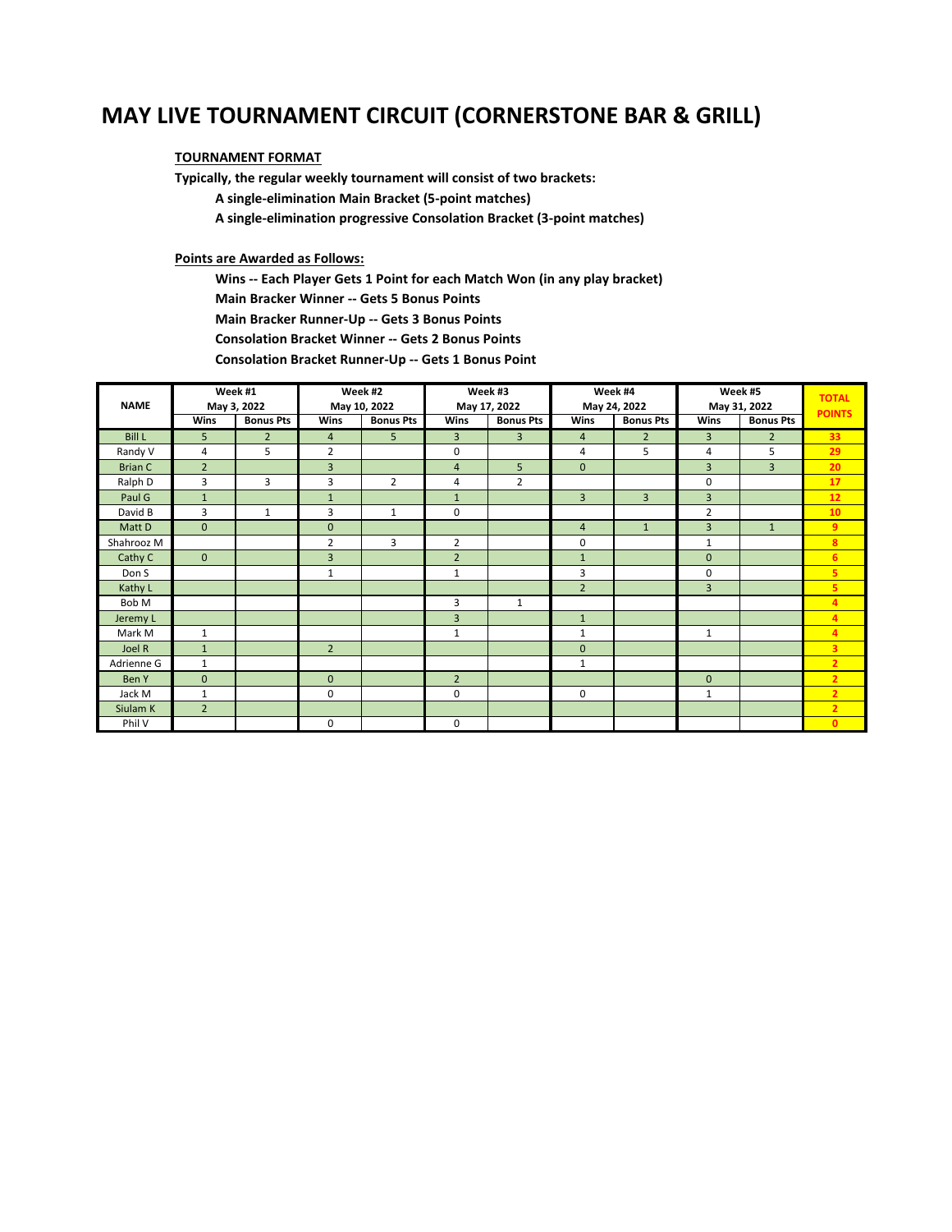# **MAY LIVE TOURNAMENT CIRCUIT (CORNERSTONE BAR & GRILL)**

#### **TOURNAMENT FORMAT**

**Typically, the regular weekly tournament will consist of two brackets:**

 **A single-elimination Main Bracket (5-point matches)**

 **A single-elimination progressive Consolation Bracket (3-point matches)**

#### **Points are Awarded as Follows:**

 **Wins -- Each Player Gets 1 Point for each Match Won (in any play bracket) Main Bracker Winner -- Gets 5 Bonus Points Main Bracker Runner-Up -- Gets 3 Bonus Points**

 **Consolation Bracket Winner -- Gets 2 Bonus Points**

 **Consolation Bracket Runner-Up -- Gets 1 Bonus Point**

| <b>NAME</b>    | Week #1<br>May 3, 2022 |                  | Week #2<br>May 10, 2022 |                  | Week #3<br>May 17, 2022 |                  | Week #4<br>May 24, 2022 |                  | Week #5<br>May 31, 2022 |                  | <b>TOTAL</b><br><b>POINTS</b> |
|----------------|------------------------|------------------|-------------------------|------------------|-------------------------|------------------|-------------------------|------------------|-------------------------|------------------|-------------------------------|
|                | <b>Wins</b>            | <b>Bonus Pts</b> | Wins                    | <b>Bonus Pts</b> | Wins                    | <b>Bonus Pts</b> | Wins                    | <b>Bonus Pts</b> | Wins                    | <b>Bonus Pts</b> |                               |
| <b>Bill L</b>  | 5                      | $\overline{2}$   | $\overline{4}$          | 5                | $\overline{3}$          | 3                | $\overline{4}$          | $\overline{2}$   | 3                       | $\overline{2}$   | 33                            |
| Randy V        | 4                      | 5                | $\overline{2}$          |                  | $\mathbf 0$             |                  | $\overline{4}$          | 5                | 4                       | 5                | 29                            |
| <b>Brian C</b> | $\overline{2}$         |                  | $\overline{3}$          |                  | $\overline{4}$          | 5                | $\mathbf{0}$            |                  | 3                       | 3                | 20                            |
| Ralph D        | 3                      | 3                | 3                       | $\overline{2}$   | 4                       | $\overline{2}$   |                         |                  | 0                       |                  | 17                            |
| Paul G         | $\mathbf{1}$           |                  | $\mathbf{1}$            |                  | $\mathbf{1}$            |                  | $\overline{3}$          | 3                | 3                       |                  | 12                            |
| David B        | 3                      | $\mathbf{1}$     | 3                       | $\mathbf{1}$     | $\mathbf 0$             |                  |                         |                  | $\overline{2}$          |                  | 10                            |
| Matt D         | $\mathbf{0}$           |                  | $\mathbf{0}$            |                  |                         |                  | $\overline{4}$          | $\mathbf{1}$     | $\overline{3}$          | $\mathbf{1}$     | 9                             |
| Shahrooz M     |                        |                  | $\overline{2}$          | 3                | $\overline{2}$          |                  | 0                       |                  | $\mathbf{1}$            |                  | 8                             |
| Cathy C        | $\mathbf{0}$           |                  | $\overline{3}$          |                  | $\overline{2}$          |                  | $\mathbf{1}$            |                  | $\mathbf{0}$            |                  | 6                             |
| Don S          |                        |                  | $\mathbf{1}$            |                  | $\mathbf{1}$            |                  | 3                       |                  | 0                       |                  | 5                             |
| Kathy L        |                        |                  |                         |                  |                         |                  | $\overline{2}$          |                  | $\overline{3}$          |                  | 5                             |
| Bob M          |                        |                  |                         |                  | 3                       | $\mathbf{1}$     |                         |                  |                         |                  | $\overline{4}$                |
| Jeremy L       |                        |                  |                         |                  | $\overline{3}$          |                  | $\mathbf{1}$            |                  |                         |                  | $\overline{4}$                |
| Mark M         | 1                      |                  |                         |                  | $\mathbf{1}$            |                  | $\mathbf{1}$            |                  | $\mathbf{1}$            |                  | $\overline{4}$                |
| Joel R         | $\mathbf{1}$           |                  | $\overline{2}$          |                  |                         |                  | $\mathbf{0}$            |                  |                         |                  | 3                             |
| Adrienne G     | $\mathbf{1}$           |                  |                         |                  |                         |                  | $\mathbf{1}$            |                  |                         |                  | $\overline{2}$                |
| Ben Y          | $\mathbf{0}$           |                  | $\mathbf{0}$            |                  | $\overline{2}$          |                  |                         |                  | $\mathbf{0}$            |                  | $\overline{2}$                |
| Jack M         | $\mathbf{1}$           |                  | $\mathbf{0}$            |                  | $\mathbf 0$             |                  | $\mathbf 0$             |                  | $\mathbf{1}$            |                  | $\overline{2}$                |
| Siulam K       | $\overline{2}$         |                  |                         |                  |                         |                  |                         |                  |                         |                  | $\overline{2}$                |
| Phil V         |                        |                  | $\mathbf{0}$            |                  | $\mathbf 0$             |                  |                         |                  |                         |                  | $\mathbf{0}$                  |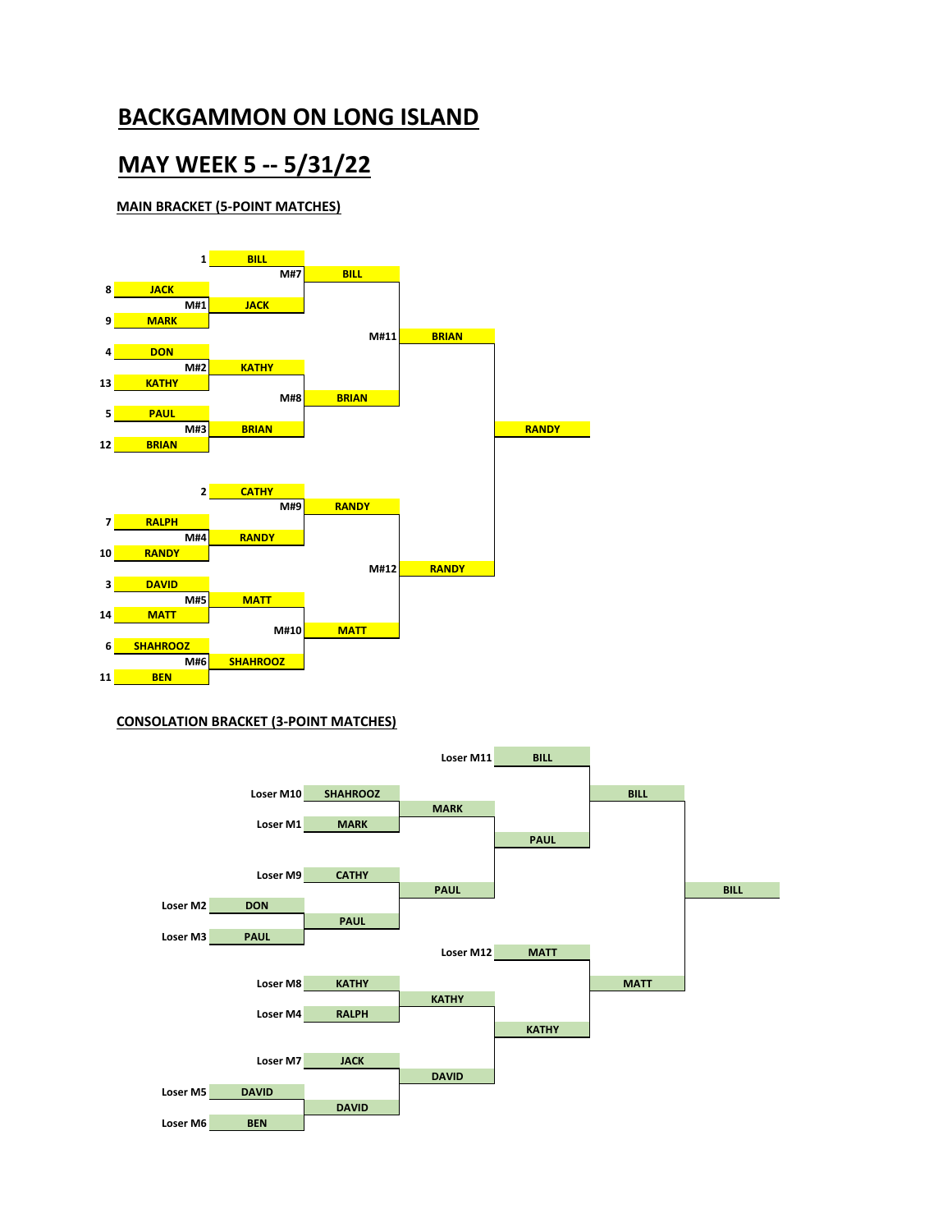# **MAY WEEK 5 -- 5/31/22**

### **MAIN BRACKET (5-POINT MATCHES)**



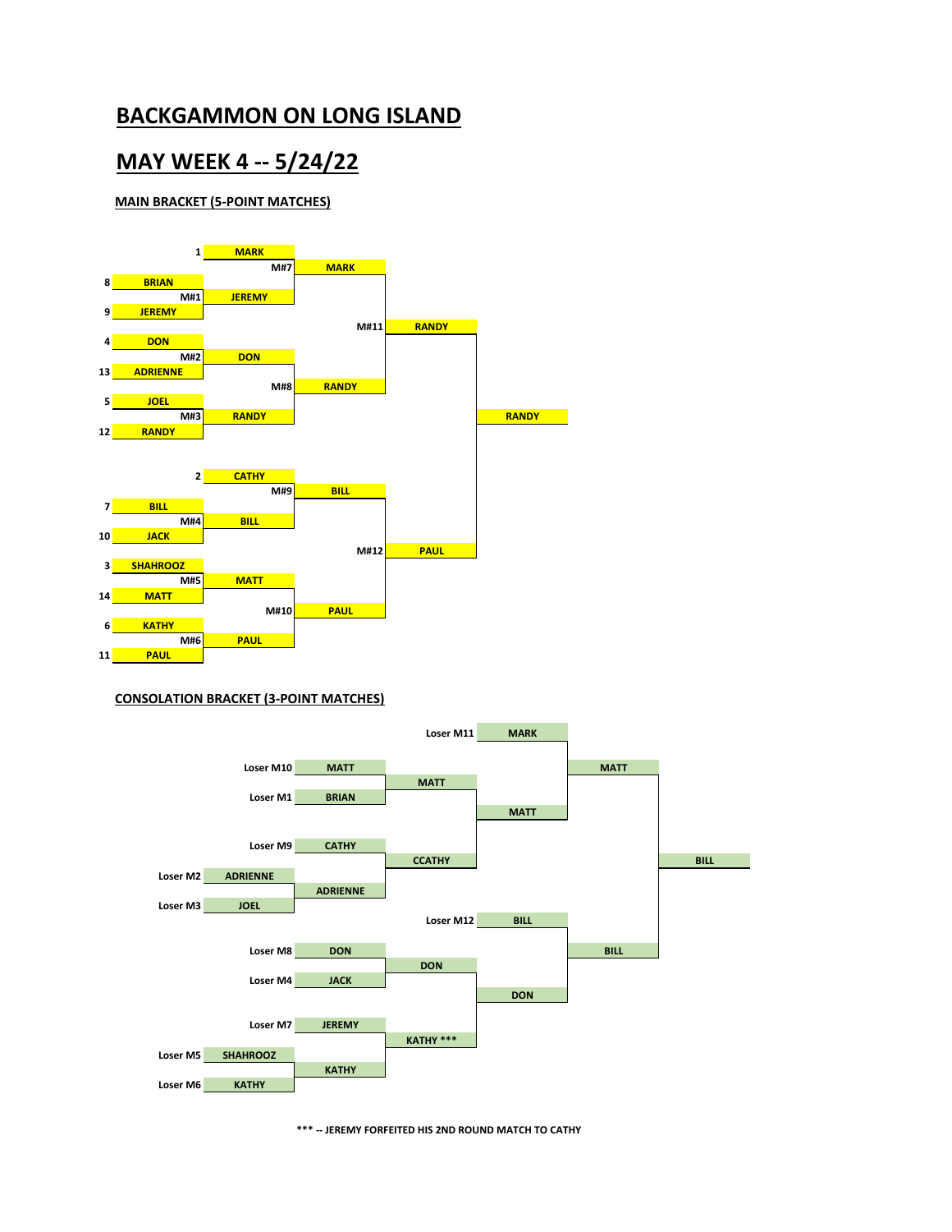## **MAY WEEK 4 -- 5/24/22**

#### **MAIN BRACKET (5-POINT MATCHES)**





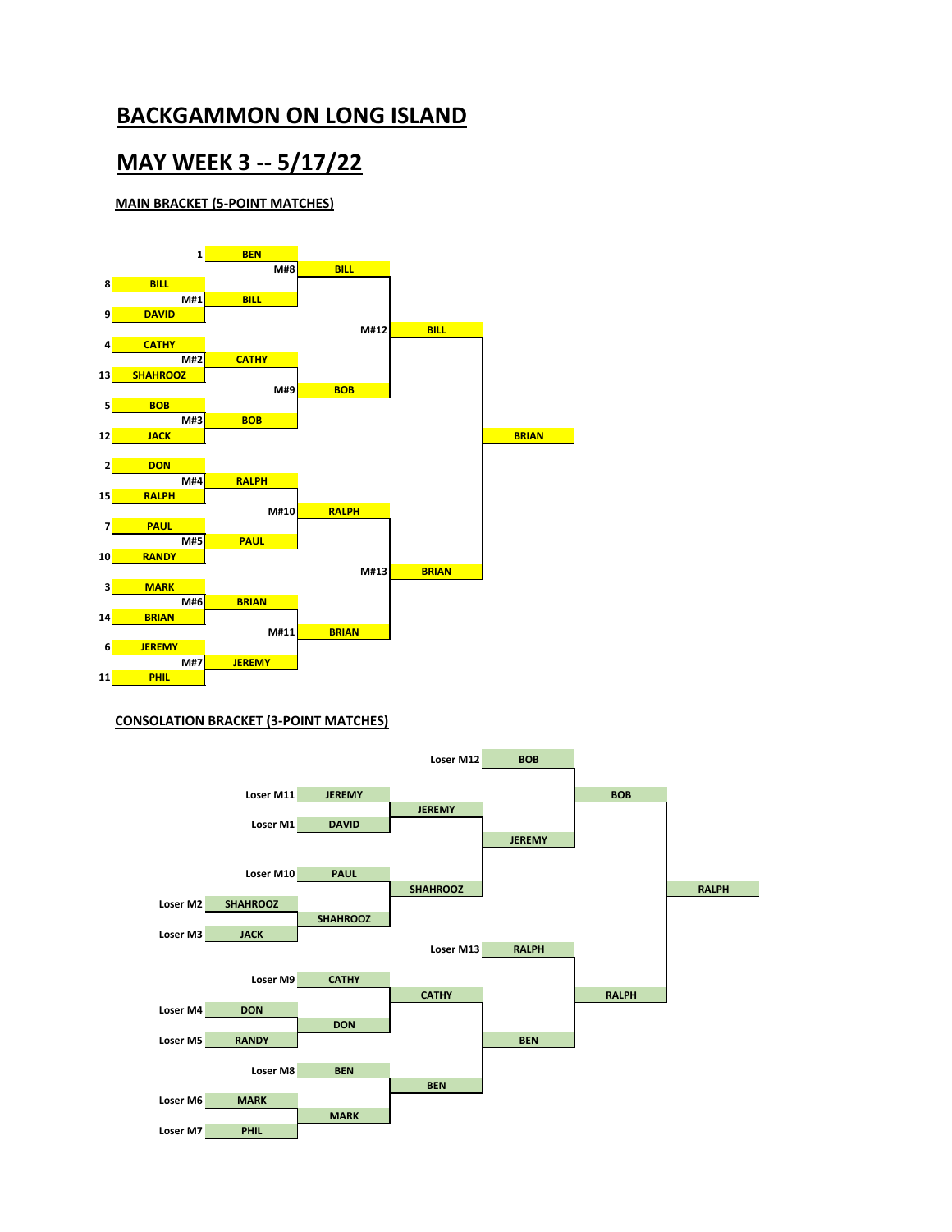## **MAY WEEK 3 -- 5/17/22**

### **MAIN BRACKET (5-POINT MATCHES)**



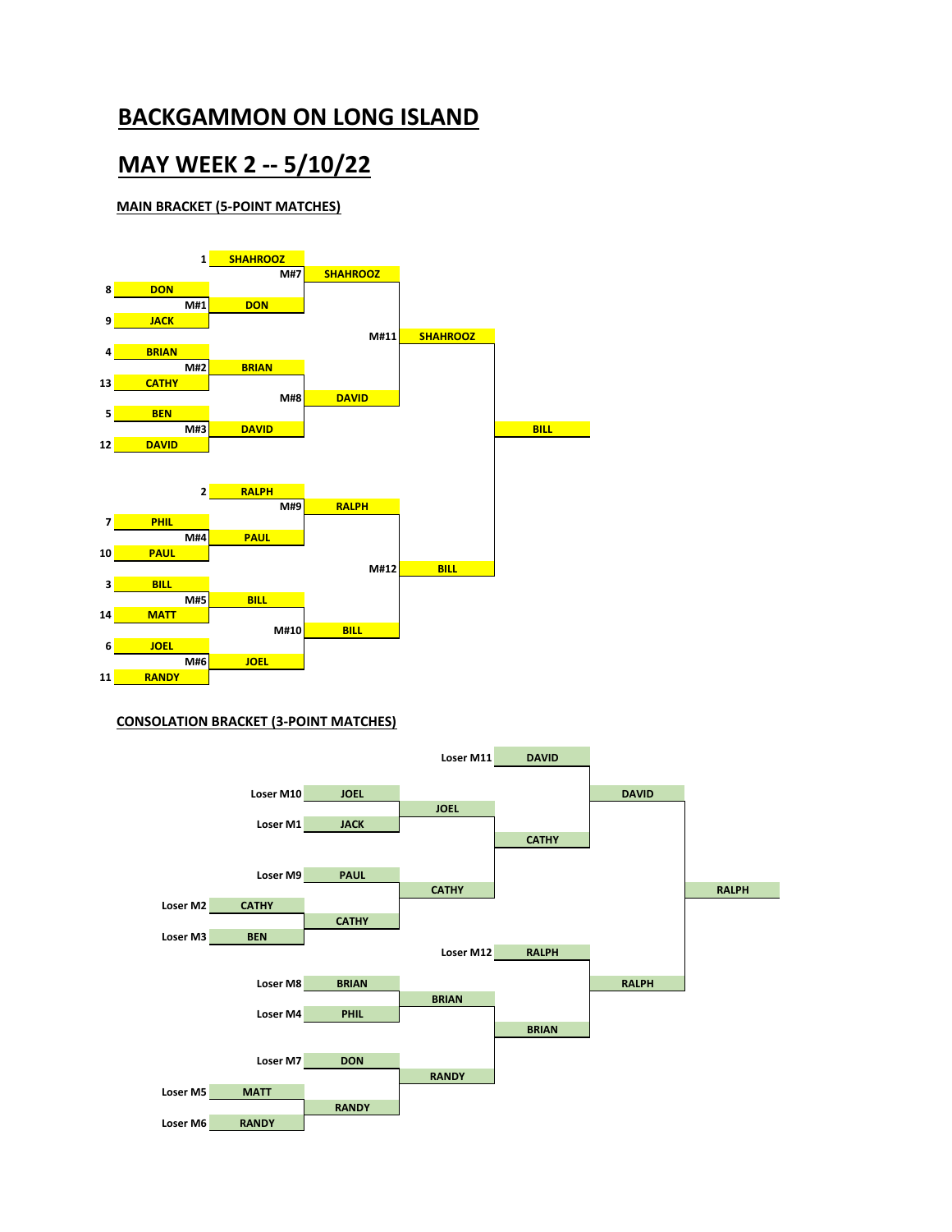# **MAY WEEK 2 -- 5/10/22**

### **MAIN BRACKET (5-POINT MATCHES)**